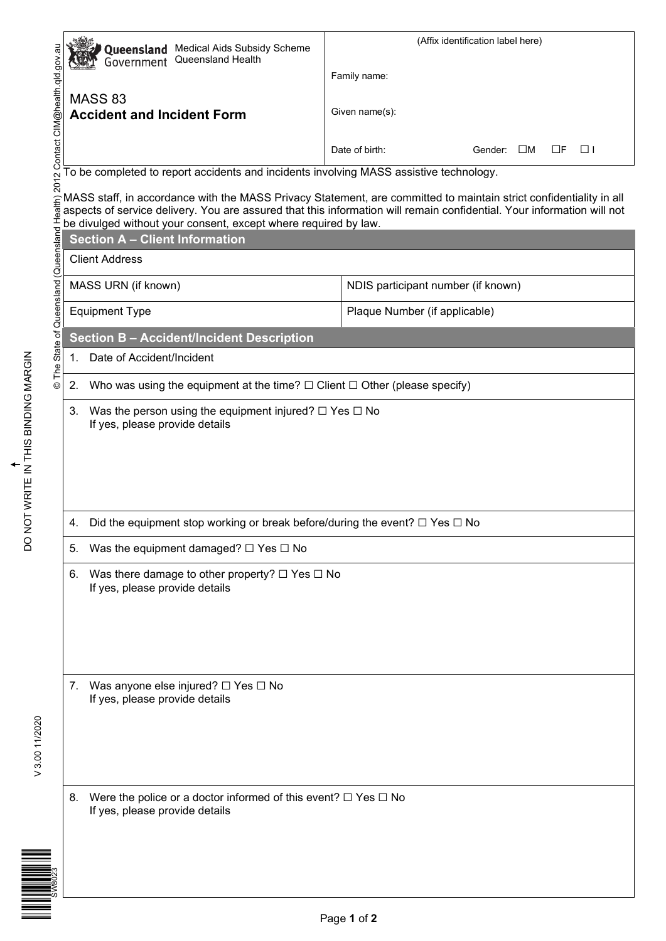|                                                                                                                                                                                                                              | (Affix identification label here) |  |  |  |
|------------------------------------------------------------------------------------------------------------------------------------------------------------------------------------------------------------------------------|-----------------------------------|--|--|--|
|                                                                                                                                                                                                                              |                                   |  |  |  |
|                                                                                                                                                                                                                              |                                   |  |  |  |
|                                                                                                                                                                                                                              |                                   |  |  |  |
| Example the matrice of the term of the term of the term of the culture of the matrice of the culture of the culture of the culture of the culture of the culture of the culture of the culture of the culture of the culture |                                   |  |  |  |
|                                                                                                                                                                                                                              |                                   |  |  |  |
|                                                                                                                                                                                                                              |                                   |  |  |  |
|                                                                                                                                                                                                                              |                                   |  |  |  |
|                                                                                                                                                                                                                              |                                   |  |  |  |
|                                                                                                                                                                                                                              |                                   |  |  |  |
|                                                                                                                                                                                                                              |                                   |  |  |  |
| Was the person using the equipment injured? $\square$ Yes $\square$ No<br>3.<br>If yes, please provide details                                                                                                               |                                   |  |  |  |
| Did the equipment stop working or break before/during the event? $\square$ Yes $\square$ No<br>4.                                                                                                                            |                                   |  |  |  |
| Was the equipment damaged? $\Box$ Yes $\Box$ No<br>5.                                                                                                                                                                        |                                   |  |  |  |
| Was there damage to other property? $\Box$ Yes $\Box$ No<br>6.<br>If yes, please provide details                                                                                                                             |                                   |  |  |  |
| Was anyone else injured? $\Box$ Yes $\Box$ No<br>7.<br>If yes, please provide details                                                                                                                                        |                                   |  |  |  |
| Were the police or a doctor informed of this event? $\Box$ Yes $\Box$ No<br>8.<br>If yes, please provide details                                                                                                             |                                   |  |  |  |

V 3.00 11/2020 V 3.00 11/2020